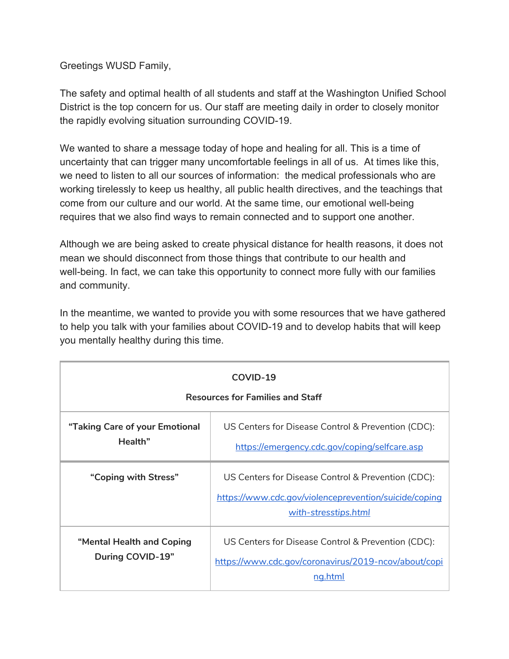Greetings WUSD Family,

The safety and optimal health of all students and staff at the Washington Unified School District is the top concern for us. Our staff are meeting daily in order to closely monitor the rapidly evolving situation surrounding COVID-19.

We wanted to share a message today of hope and healing for all. This is a time of uncertainty that can trigger many uncomfortable feelings in all of us. At times like this, we need to listen to all our sources of information: the medical professionals who are working tirelessly to keep us healthy, all public health directives, and the teachings that come from our culture and our world. At the same time, our emotional well-being requires that we also find ways to remain connected and to support one another.

Although we are being asked to create physical distance for health reasons, it does not mean we should disconnect from those things that contribute to our health and well-being. In fact, we can take this opportunity to connect more fully with our families and community.

In the meantime, we wanted to provide you with some resources that we have gathered to help you talk with your families about COVID-19 and to develop habits that will keep you mentally healthy during this time.

| COVID-19<br><b>Resources for Families and Staff</b> |                                                                                                                                     |
|-----------------------------------------------------|-------------------------------------------------------------------------------------------------------------------------------------|
| "Taking Care of your Emotional<br>Health"           | US Centers for Disease Control & Prevention (CDC):<br>https://emergency.cdc.gov/coping/selfcare.asp                                 |
| "Coping with Stress"                                | US Centers for Disease Control & Prevention (CDC):<br>https://www.cdc.gov/violenceprevention/suicide/coping<br>with-stresstips.html |
| "Mental Health and Coping<br>During COVID-19"       | US Centers for Disease Control & Prevention (CDC):<br>https://www.cdc.gov/coronavirus/2019-ncov/about/copi<br>ng.html               |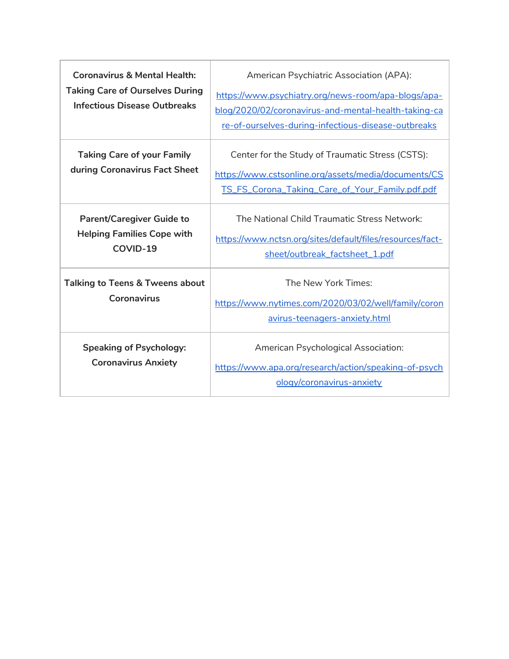| <b>Coronavirus &amp; Mental Health:</b><br><b>Taking Care of Ourselves During</b><br><b>Infectious Disease Outbreaks</b> | American Psychiatric Association (APA):<br>https://www.psychiatry.org/news-room/apa-blogs/apa-<br>blog/2020/02/coronavirus-and-mental-health-taking-ca<br>re-of-ourselves-during-infectious-disease-outbreaks |
|--------------------------------------------------------------------------------------------------------------------------|---------------------------------------------------------------------------------------------------------------------------------------------------------------------------------------------------------------|
| <b>Taking Care of your Family</b><br>during Coronavirus Fact Sheet                                                       | Center for the Study of Traumatic Stress (CSTS):<br>https://www.cstsonline.org/assets/media/documents/CS<br>TS_FS_Corona_Taking_Care_of_Your_Family.pdf.pdf                                                   |
| <b>Parent/Caregiver Guide to</b><br><b>Helping Families Cope with</b><br>COVID-19                                        | The National Child Traumatic Stress Network:<br>https://www.nctsn.org/sites/default/files/resources/fact-<br>sheet/outbreak_factsheet_1.pdf                                                                   |
| <b>Talking to Teens &amp; Tweens about</b><br>Coronavirus                                                                | The New York Times:<br>https://www.nytimes.com/2020/03/02/well/family/coron<br>avirus-teenagers-anxiety.html                                                                                                  |
| <b>Speaking of Psychology:</b><br><b>Coronavirus Anxiety</b>                                                             | <b>American Psychological Association:</b><br>https://www.apa.org/research/action/speaking-of-psych<br>ology/coronavirus-anxiety                                                                              |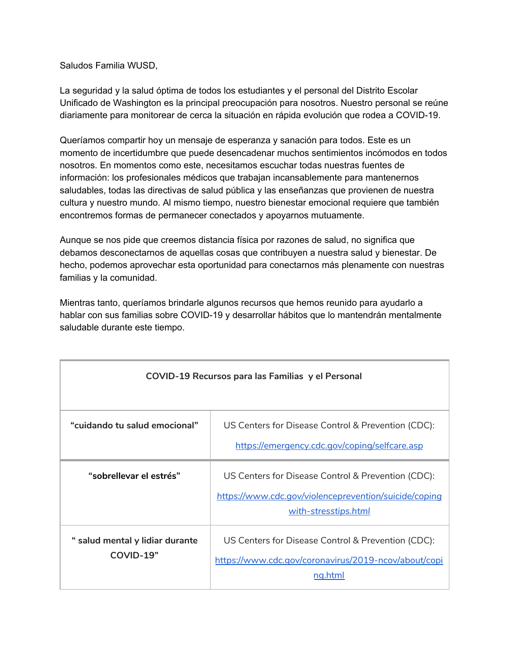Saludos Familia WUSD,

La seguridad y la salud óptima de todos los estudiantes y el personal del Distrito Escolar Unificado de Washington es la principal preocupación para nosotros. Nuestro personal se reúne diariamente para monitorear de cerca la situación en rápida evolución que rodea a COVID-19.

Queríamos compartir hoy un mensaje de esperanza y sanación para todos. Este es un momento de incertidumbre que puede desencadenar muchos sentimientos incómodos en todos nosotros. En momentos como este, necesitamos escuchar todas nuestras fuentes de información: los profesionales médicos que trabajan incansablemente para mantenernos saludables, todas las directivas de salud pública y las enseñanzas que provienen de nuestra cultura y nuestro mundo. Al mismo tiempo, nuestro bienestar emocional requiere que también encontremos formas de permanecer conectados y apoyarnos mutuamente.

Aunque se nos pide que creemos distancia física por razones de salud, no significa que debamos desconectarnos de aquellas cosas que contribuyen a nuestra salud y bienestar. De hecho, podemos aprovechar esta oportunidad para conectarnos más plenamente con nuestras familias y la comunidad.

Mientras tanto, queríamos brindarle algunos recursos que hemos reunido para ayudarlo a hablar con sus familias sobre COVID-19 y desarrollar hábitos que lo mantendrán mentalmente saludable durante este tiempo.

| COVID-19 Recursos para las Familias y el Personal |                                                                                                                                     |
|---------------------------------------------------|-------------------------------------------------------------------------------------------------------------------------------------|
| "cuidando tu salud emocional"                     | US Centers for Disease Control & Prevention (CDC):<br>https://emergency.cdc.gov/coping/selfcare.asp                                 |
| "sobrellevar el estrés"                           | US Centers for Disease Control & Prevention (CDC):<br>https://www.cdc.gov/violenceprevention/suicide/coping<br>with-stresstips.html |
| " salud mental y lidiar durante<br>COVID-19"      | US Centers for Disease Control & Prevention (CDC):<br>https://www.cdc.gov/coronavirus/2019-ncov/about/copi<br>ng.html               |